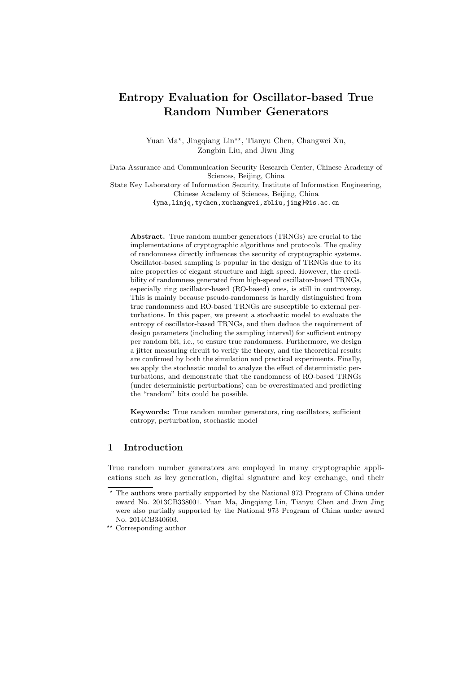# Entropy Evaluation for Oscillator-based True Random Number Generators

Yuan Ma<sup>\*</sup>, Jingqiang Lin<sup>\*\*</sup>, Tianyu Chen, Changwei Xu, Zongbin Liu, and Jiwu Jing

Data Assurance and Communication Security Research Center, Chinese Academy of Sciences, Beijing, China State Key Laboratory of Information Security, Institute of Information Engineering, Chinese Academy of Sciences, Beijing, China {yma,linjq,tychen,xuchangwei,zbliu,jing}@is.ac.cn

Abstract. True random number generators (TRNGs) are crucial to the implementations of cryptographic algorithms and protocols. The quality of randomness directly influences the security of cryptographic systems. Oscillator-based sampling is popular in the design of TRNGs due to its nice properties of elegant structure and high speed. However, the credibility of randomness generated from high-speed oscillator-based TRNGs, especially ring oscillator-based (RO-based) ones, is still in controversy. This is mainly because pseudo-randomness is hardly distinguished from true randomness and RO-based TRNGs are susceptible to external perturbations. In this paper, we present a stochastic model to evaluate the entropy of oscillator-based TRNGs, and then deduce the requirement of design parameters (including the sampling interval) for sufficient entropy per random bit, i.e., to ensure true randomness. Furthermore, we design a jitter measuring circuit to verify the theory, and the theoretical results are confirmed by both the simulation and practical experiments. Finally, we apply the stochastic model to analyze the effect of deterministic perturbations, and demonstrate that the randomness of RO-based TRNGs (under deterministic perturbations) can be overestimated and predicting the "random" bits could be possible.

Keywords: True random number generators, ring oscillators, sufficient entropy, perturbation, stochastic model

# 1 Introduction

True random number generators are employed in many cryptographic applications such as key generation, digital signature and key exchange, and their

<sup>?</sup> The authors were partially supported by the National 973 Program of China under award No. 2013CB338001. Yuan Ma, Jingqiang Lin, Tianyu Chen and Jiwu Jing were also partially supported by the National 973 Program of China under award No. 2014CB340603.

 $^{\star\star}$  Corresponding author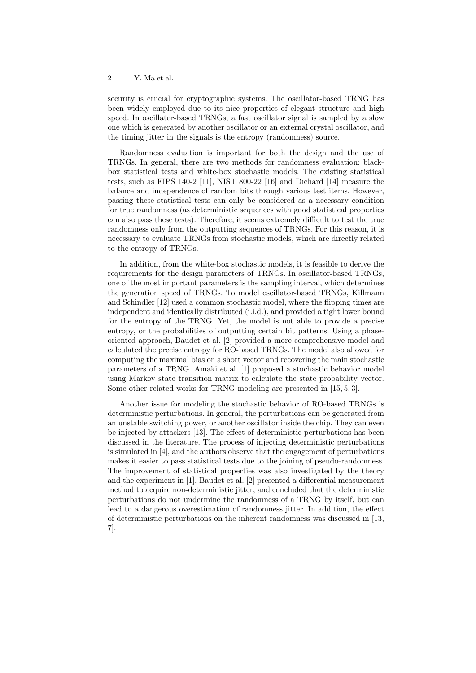security is crucial for cryptographic systems. The oscillator-based TRNG has been widely employed due to its nice properties of elegant structure and high speed. In oscillator-based TRNGs, a fast oscillator signal is sampled by a slow one which is generated by another oscillator or an external crystal oscillator, and the timing jitter in the signals is the entropy (randomness) source.

Randomness evaluation is important for both the design and the use of TRNGs. In general, there are two methods for randomness evaluation: blackbox statistical tests and white-box stochastic models. The existing statistical tests, such as FIPS 140-2 [11], NIST 800-22 [16] and Diehard [14] measure the balance and independence of random bits through various test items. However, passing these statistical tests can only be considered as a necessary condition for true randomness (as deterministic sequences with good statistical properties can also pass these tests). Therefore, it seems extremely difficult to test the true randomness only from the outputting sequences of TRNGs. For this reason, it is necessary to evaluate TRNGs from stochastic models, which are directly related to the entropy of TRNGs.

In addition, from the white-box stochastic models, it is feasible to derive the requirements for the design parameters of TRNGs. In oscillator-based TRNGs, one of the most important parameters is the sampling interval, which determines the generation speed of TRNGs. To model oscillator-based TRNGs, Killmann and Schindler [12] used a common stochastic model, where the flipping times are independent and identically distributed (i.i.d.), and provided a tight lower bound for the entropy of the TRNG. Yet, the model is not able to provide a precise entropy, or the probabilities of outputting certain bit patterns. Using a phaseoriented approach, Baudet et al. [2] provided a more comprehensive model and calculated the precise entropy for RO-based TRNGs. The model also allowed for computing the maximal bias on a short vector and recovering the main stochastic parameters of a TRNG. Amaki et al. [1] proposed a stochastic behavior model using Markov state transition matrix to calculate the state probability vector. Some other related works for TRNG modeling are presented in [15, 5, 3].

Another issue for modeling the stochastic behavior of RO-based TRNGs is deterministic perturbations. In general, the perturbations can be generated from an unstable switching power, or another oscillator inside the chip. They can even be injected by attackers [13]. The effect of deterministic perturbations has been discussed in the literature. The process of injecting deterministic perturbations is simulated in [4], and the authors observe that the engagement of perturbations makes it easier to pass statistical tests due to the joining of pseudo-randomness. The improvement of statistical properties was also investigated by the theory and the experiment in [1]. Baudet et al. [2] presented a differential measurement method to acquire non-deterministic jitter, and concluded that the deterministic perturbations do not undermine the randomness of a TRNG by itself, but can lead to a dangerous overestimation of randomness jitter. In addition, the effect of deterministic perturbations on the inherent randomness was discussed in [13, 7].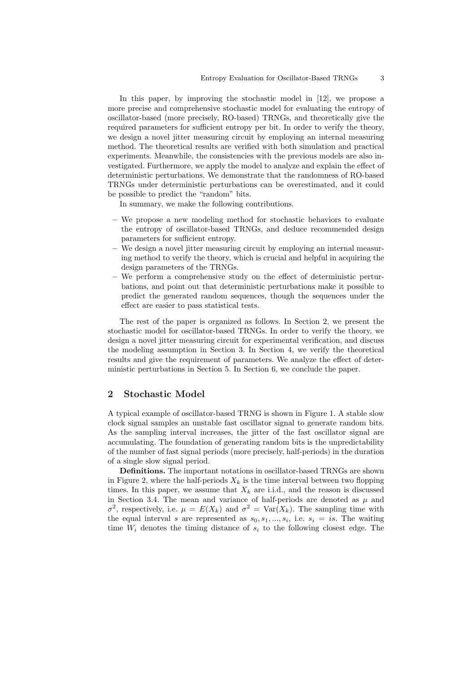In this paper, by improving the stochastic model in [12], we propose a more precise and comprehensive stochastic model for evaluating the entropy of oscillator-based (more precisely, RO-based) TRNGs, and theoretically give the required parameters for sufficient entropy per bit. In order to verify the theory, we design a novel jitter measuring circuit by employing an internal measuring method. The theoretical results are verified with both simulation and practical experiments. Meanwhile, the consistencies with the previous models are also investigated. Furthermore, we apply the model to analyze and explain the effect of deterministic perturbations. We demonstrate that the randomness of RO-based TRNGs under deterministic perturbations can be overestimated, and it could be possible to predict the "random" bits.

In summary, we make the following contributions.

- We propose a new modeling method for stochastic behaviors to evaluate the entropy of oscillator-based TRNGs, and deduce recommended design parameters for sufficient entropy.
- We design a novel jitter measuring circuit by employing an internal measuring method to verify the theory, which is crucial and helpful in acquiring the design parameters of the TRNGs.
- We perform a comprehensive study on the effect of deterministic perturbations, and point out that deterministic perturbations make it possible to predict the generated random sequences, though the sequences under the effect are easier to pass statistical tests.

The rest of the paper is organized as follows. In Section 2, we present the stochastic model for oscillator-based TRNGs. In order to verify the theory, we design a novel jitter measuring circuit for experimental verification, and discuss the modeling assumption in Section 3. In Section 4, we verify the theoretical results and give the requirement of parameters. We analyze the effect of deterministic perturbations in Section 5. In Section 6, we conclude the paper.

# 2 Stochastic Model

A typical example of oscillator-based TRNG is shown in Figure 1. A stable slow clock signal samples an unstable fast oscillator signal to generate random bits. As the sampling interval increases, the jitter of the fast oscillator signal are accumulating. The foundation of generating random bits is the unpredictability of the number of fast signal periods (more precisely, half-periods) in the duration of a single slow signal period.

Definitions. The important notations in oscillator-based TRNGs are shown in Figure 2, where the half-periods  $X_k$  is the time interval between two flopping times. In this paper, we assume that  $X_k$  are i.i.d., and the reason is discussed in Section 3.4. The mean and variance of half-periods are denoted as  $\mu$  and  $\sigma^2$ , respectively, i.e.  $\mu = E(X_k)$  and  $\sigma^2 = \text{Var}(X_k)$ . The sampling time with the equal interval s are represented as  $s_0, s_1, ..., s_i$ , i.e.  $s_i = is$ . The waiting time  $W_i$  denotes the timing distance of  $s_i$  to the following closest edge. The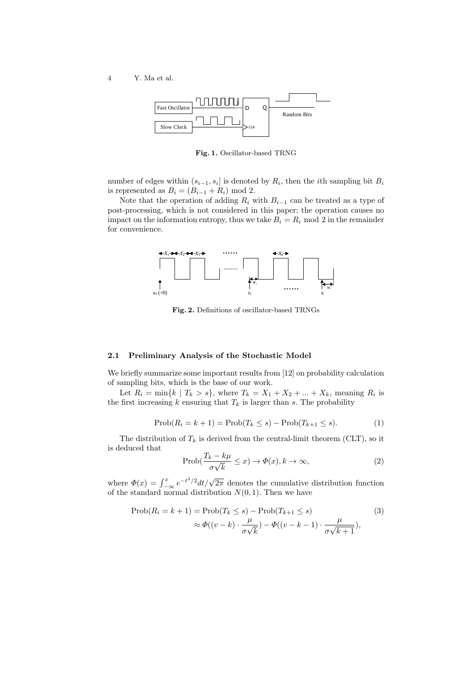

Fig. 1. Oscillator-based TRNG

number of edges within  $(s_{i-1}, s_i]$  is denoted by  $R_i$ , then the *i*th sampling bit  $B_i$ is represented as  $B_i = (B_{i-1} + R_i) \text{ mod } 2$ .

Note that the operation of adding  $R_i$  with  $B_{i-1}$  can be treated as a type of post-processing, which is not considered in this paper; the operation causes no impact on the information entropy, thus we take  $B_i = R_i \text{ mod } 2$  in the remainder for convenience.



Fig. 2. Definitions of oscillator-based TRNGs

### 2.1 Preliminary Analysis of the Stochastic Model

We briefly summarize some important results from [12] on probability calculation of sampling bits, which is the base of our work.

Let  $R_i = \min\{k \mid T_k > s\}$ , where  $T_k = X_1 + X_2 + ... + X_k$ , meaning  $R_i$  is the first increasing  $k$  ensuring that  $T_k$  is larger than s. The probability

$$
Prob(R_i = k + 1) = Prob(T_k \le s) - Prob(T_{k+1} \le s).
$$
\n(1)

The distribution of  $T_k$  is derived from the central-limit theorem (CLT), so it is deduced that

$$
\text{Prob}(\frac{T_k - k\mu}{\sigma\sqrt{k}} \le x) \to \Phi(x), k \to \infty,
$$
\n(2)

where  $\Phi(x) = \int_{-\infty}^{x} e^{-t^2/2} dt / \sqrt{2\pi}$  denotes the cumulative distribution function of the standard normal distribution  $N(0, 1)$ . Then we have

$$
\text{Prob}(R_i = k+1) = \text{Prob}(T_k \le s) - \text{Prob}(T_{k+1} \le s) \tag{3}
$$

$$
\approx \Phi((v-k) \cdot \frac{\mu}{\sigma\sqrt{k}}) - \Phi((v-k-1) \cdot \frac{\mu}{\sigma\sqrt{k+1}}),
$$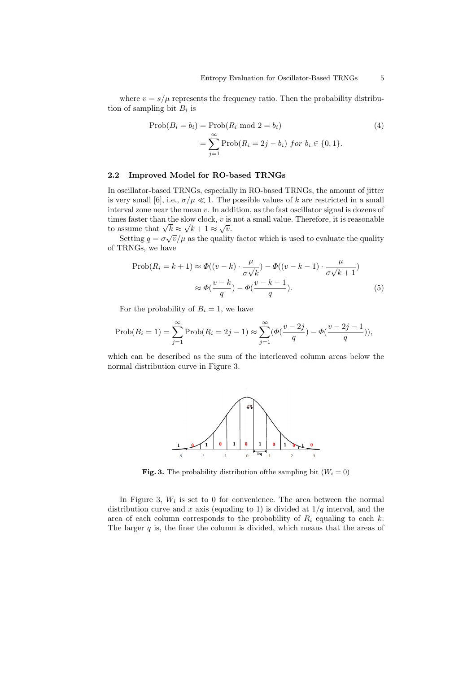where  $v = s/\mu$  represents the frequency ratio. Then the probability distribution of sampling bit  $B_i$  is

$$
\text{Prob}(B_i = b_i) = \text{Prob}(R_i \text{ mod } 2 = b_i)
$$
\n
$$
= \sum_{j=1}^{\infty} \text{Prob}(R_i = 2j - b_i) \text{ for } b_i \in \{0, 1\}.
$$
\n(4)

#### 2.2 Improved Model for RO-based TRNGs

In oscillator-based TRNGs, especially in RO-based TRNGs, the amount of jitter is very small [6], i.e.,  $\sigma/\mu \ll 1$ . The possible values of k are restricted in a small interval zone near the mean  $v$ . In addition, as the fast oscillator signal is dozens of times faster than the slow clock, v is not a small value. Therefore, it is reasonable times faster than the slow clock, v is<br>to assume that  $\sqrt{k} \approx \sqrt{k+1} \approx \sqrt{v}$ .

Setting  $q = \sigma \sqrt{\nu}/\mu$  as the quality factor which is used to evaluate the quality of TRNGs, we have

$$
\text{Prob}(R_i = k+1) \approx \Phi((v-k) \cdot \frac{\mu}{\sigma \sqrt{k}}) - \Phi((v-k-1) \cdot \frac{\mu}{\sigma \sqrt{k+1}})
$$

$$
\approx \Phi(\frac{v-k}{q}) - \Phi(\frac{v-k-1}{q}). \tag{5}
$$

For the probability of  $B_i = 1$ , we have

$$
\text{Prob}(B_i = 1) = \sum_{j=1}^{\infty} \text{Prob}(R_i = 2j - 1) \approx \sum_{j=1}^{\infty} (\Phi(\frac{v - 2j}{q}) - \Phi(\frac{v - 2j - 1}{q})),
$$

which can be described as the sum of the interleaved column areas below the normal distribution curve in Figure 3.



**Fig. 3.** The probability distribution of the sampling bit  $(W_i = 0)$ 

In Figure 3,  $W_i$  is set to 0 for convenience. The area between the normal distribution curve and x axis (equaling to 1) is divided at  $1/q$  interval, and the area of each column corresponds to the probability of  $R_i$  equaling to each k. The larger  $q$  is, the finer the column is divided, which means that the areas of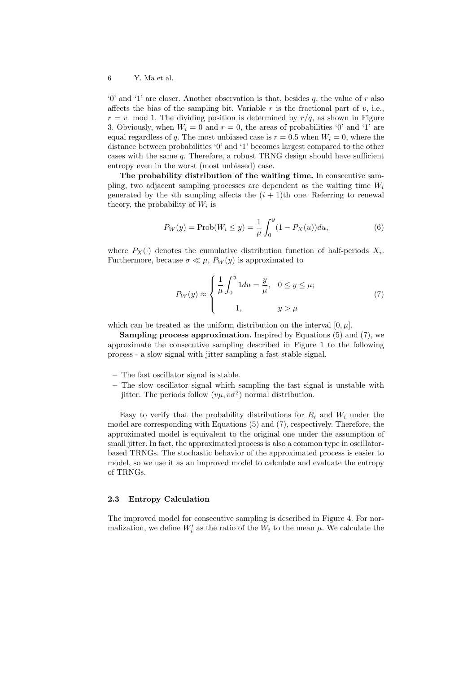'0' and '1' are closer. Another observation is that, besides q, the value of  $r$  also affects the bias of the sampling bit. Variable  $r$  is the fractional part of  $v$ , i.e.,  $r = v \mod 1$ . The dividing position is determined by  $r/q$ , as shown in Figure 3. Obviously, when  $W_i = 0$  and  $r = 0$ , the areas of probabilities '0' and '1' are equal regardless of q. The most unbiased case is  $r = 0.5$  when  $W_i = 0$ , where the distance between probabilities '0' and '1' becomes largest compared to the other cases with the same q. Therefore, a robust TRNG design should have sufficient entropy even in the worst (most unbiased) case.

The probability distribution of the waiting time. In consecutive sampling, two adjacent sampling processes are dependent as the waiting time  $W_i$ generated by the *i*th sampling affects the  $(i + 1)$ <sup>th</sup> one. Referring to renewal theory, the probability of  $W_i$  is

$$
P_W(y) = \text{Prob}(W_i \le y) = \frac{1}{\mu} \int_0^y (1 - P_X(u)) du,
$$
\n(6)

where  $P_X(\cdot)$  denotes the cumulative distribution function of half-periods  $X_i$ . Furthermore, because  $\sigma \ll \mu$ ,  $P_W(y)$  is approximated to

$$
P_W(y) \approx \begin{cases} \frac{1}{\mu} \int_0^y 1 du = \frac{y}{\mu}, & 0 \le y \le \mu; \\ 1, & y > \mu \end{cases}
$$
 (7)

which can be treated as the uniform distribution on the interval  $[0, \mu]$ .

Sampling process approximation. Inspired by Equations (5) and (7), we approximate the consecutive sampling described in Figure 1 to the following process - a slow signal with jitter sampling a fast stable signal.

- The fast oscillator signal is stable.
- The slow oscillator signal which sampling the fast signal is unstable with jitter. The periods follow  $(v\mu, v\sigma^2)$  normal distribution.

Easy to verify that the probability distributions for  $R_i$  and  $W_i$  under the model are corresponding with Equations (5) and (7), respectively. Therefore, the approximated model is equivalent to the original one under the assumption of small jitter. In fact, the approximated process is also a common type in oscillatorbased TRNGs. The stochastic behavior of the approximated process is easier to model, so we use it as an improved model to calculate and evaluate the entropy of TRNGs.

#### 2.3 Entropy Calculation

The improved model for consecutive sampling is described in Figure 4. For normalization, we define  $W_i'$  as the ratio of the  $W_i$  to the mean  $\mu$ . We calculate the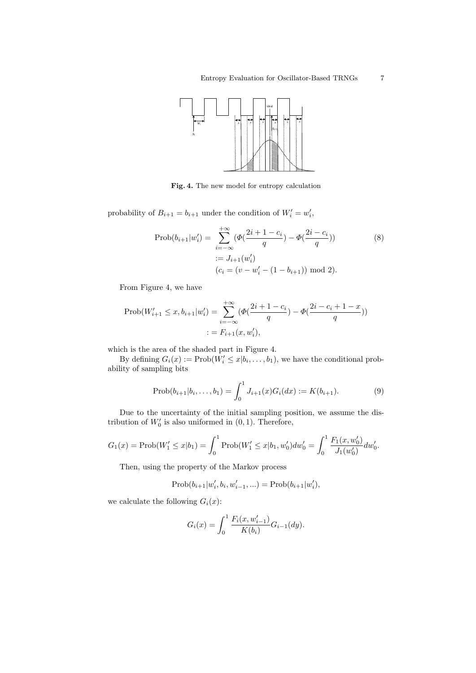

Fig. 4. The new model for entropy calculation

probability of  $B_{i+1} = b_{i+1}$  under the condition of  $W_i' = w_i'$ ,

$$
\text{Prob}(b_{i+1}|w'_i) = \sum_{i=-\infty}^{+\infty} (\Phi(\frac{2i+1-c_i}{q}) - \Phi(\frac{2i-c_i}{q}))
$$
\n
$$
:= J_{i+1}(w'_i)
$$
\n
$$
(c_i = (v - w'_i - (1 - b_{i+1})) \mod 2).
$$
\n(8)

From Figure 4, we have

$$
\text{Prob}(W'_{i+1} \le x, b_{i+1}|w'_i) = \sum_{i=-\infty}^{+\infty} (\Phi(\frac{2i+1-c_i}{q}) - \Phi(\frac{2i-c_i+1-x}{q}))
$$
  
=  $F_{i+1}(x, w'_i)$ ,

which is the area of the shaded part in Figure 4.

By defining  $G_i(x) := \text{Prob}(W'_i \leq x | b_i, \dots, b_1)$ , we have the conditional probability of sampling bits

$$
Prob(b_{i+1}|b_i,\ldots,b_1) = \int_0^1 J_{i+1}(x)G_i(dx) := K(b_{i+1}).
$$
\n(9)

Due to the uncertainty of the initial sampling position, we assume the distribution of  $W'_0$  is also uniformed in  $(0, 1)$ . Therefore,

$$
G_1(x) = \text{Prob}(W'_1 \le x | b_1) = \int_0^1 \text{Prob}(W'_1 \le x | b_1, w'_0) dw'_0 = \int_0^1 \frac{F_1(x, w'_0)}{J_1(w'_0)} dw'_0.
$$

Then, using the property of the Markov process

$$
Prob(b_{i+1}|w'_i, b_i, w'_{i-1}, \ldots) = Prob(b_{i+1}|w'_i),
$$

we calculate the following  $G_i(x)$ :

$$
G_i(x) = \int_0^1 \frac{F_i(x, w'_{i-1})}{K(b_i)} G_{i-1}(dy).
$$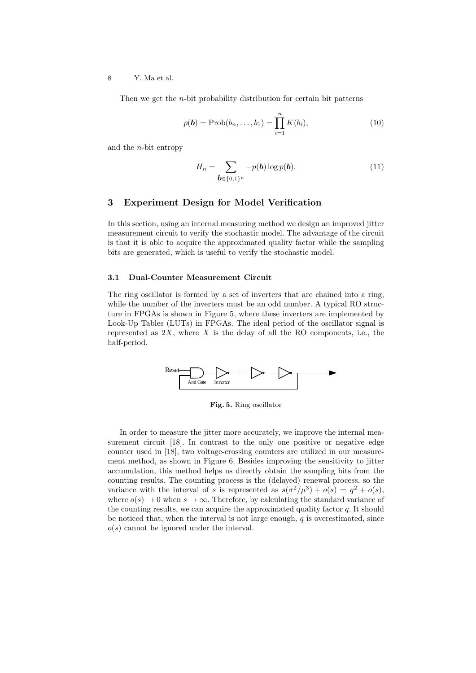Then we get the n-bit probability distribution for certain bit patterns

$$
p(\boldsymbol{b}) = \text{Prob}(b_n, \dots, b_1) = \prod_{i=1}^n K(b_i), \qquad (10)
$$

and the n-bit entropy

$$
H_n = \sum_{\boldsymbol{b} \in \{0,1\}^n} -p(\boldsymbol{b}) \log p(\boldsymbol{b}). \tag{11}
$$

# 3 Experiment Design for Model Verification

In this section, using an internal measuring method we design an improved jitter measurement circuit to verify the stochastic model. The advantage of the circuit is that it is able to acquire the approximated quality factor while the sampling bits are generated, which is useful to verify the stochastic model.

### 3.1 Dual-Counter Measurement Circuit

The ring oscillator is formed by a set of inverters that are chained into a ring, while the number of the inverters must be an odd number. A typical RO structure in FPGAs is shown in Figure 5, where these inverters are implemented by Look-Up Tables (LUTs) in FPGAs. The ideal period of the oscillator signal is represented as  $2X$ , where X is the delay of all the RO components, i.e., the half-period.



Fig. 5. Ring oscillator

In order to measure the jitter more accurately, we improve the internal measurement circuit [18]. In contrast to the only one positive or negative edge counter used in [18], two voltage-crossing counters are utilized in our measurement method, as shown in Figure 6. Besides improving the sensitivity to jitter accumulation, this method helps us directly obtain the sampling bits from the counting results. The counting process is the (delayed) renewal process, so the variance with the interval of s is represented as  $s(\sigma^2/\mu^3) + o(s) = q^2 + o(s)$ , where  $o(s) \to 0$  when  $s \to \infty$ . Therefore, by calculating the standard variance of the counting results, we can acquire the approximated quality factor  $q$ . It should be noticed that, when the interval is not large enough,  $q$  is overestimated, since  $o(s)$  cannot be ignored under the interval.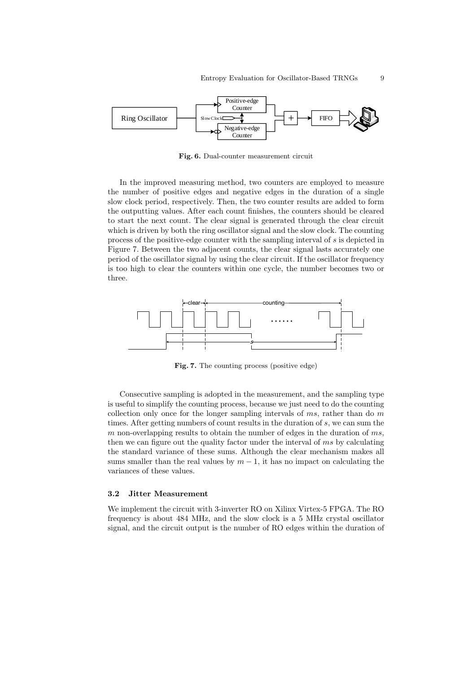

Fig. 6. Dual-counter measurement circuit

In the improved measuring method, two counters are employed to measure the number of positive edges and negative edges in the duration of a single slow clock period, respectively. Then, the two counter results are added to form the outputting values. After each count finishes, the counters should be cleared to start the next count. The clear signal is generated through the clear circuit which is driven by both the ring oscillator signal and the slow clock. The counting process of the positive-edge counter with the sampling interval of s is depicted in Figure 7. Between the two adjacent counts, the clear signal lasts accurately one period of the oscillator signal by using the clear circuit. If the oscillator frequency is too high to clear the counters within one cycle, the number becomes two or three.



Fig. 7. The counting process (positive edge)

Consecutive sampling is adopted in the measurement, and the sampling type is useful to simplify the counting process, because we just need to do the counting collection only once for the longer sampling intervals of  $ms$ , rather than do  $m$ times. After getting numbers of count results in the duration of s, we can sum the  $m$  non-overlapping results to obtain the number of edges in the duration of  $ms$ , then we can figure out the quality factor under the interval of  $ms$  by calculating the standard variance of these sums. Although the clear mechanism makes all sums smaller than the real values by  $m-1$ , it has no impact on calculating the variances of these values.

### 3.2 Jitter Measurement

We implement the circuit with 3-inverter RO on Xilinx Virtex-5 FPGA. The RO frequency is about 484 MHz, and the slow clock is a 5 MHz crystal oscillator signal, and the circuit output is the number of RO edges within the duration of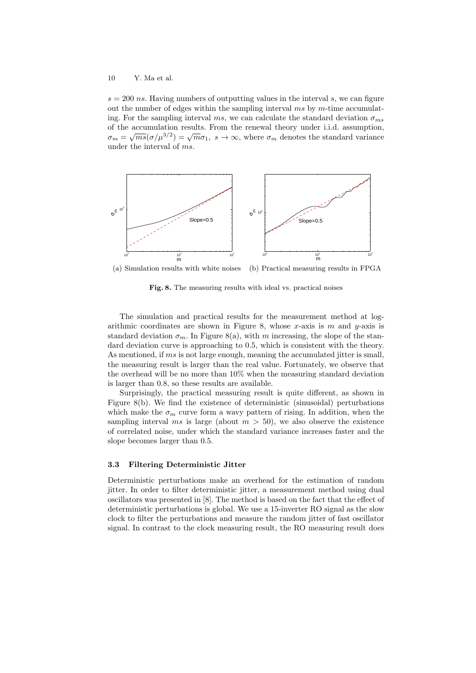$s = 200$  ns. Having numbers of outputting values in the interval s, we can figure out the number of edges within the sampling interval  $ms$  by  $m$ -time accumulating. For the sampling interval ms, we can calculate the standard deviation  $\sigma_{ms}$ of the accumulation results. From the renewal theory under i.i.d. assumption, or the accumulation results. From the reflewar theory under 1.1.0. assumption,<br> $\sigma_m = \sqrt{ms}(\sigma/\mu^{3/2}) = \sqrt{m}\sigma_1$ ,  $s \to \infty$ , where  $\sigma_m$  denotes the standard variance under the interval of ms.



(a) Simulation results with white noises (b) Practical measuring results in FPGA

Fig. 8. The measuring results with ideal vs. practical noises

The simulation and practical results for the measurement method at logarithmic coordinates are shown in Figure 8, whose x-axis is  $m$  and  $y$ -axis is standard deviation  $\sigma_m$ . In Figure 8(a), with m increasing, the slope of the standard deviation curve is approaching to 0.5, which is consistent with the theory. As mentioned, if ms is not large enough, meaning the accumulated jitter is small, the measuring result is larger than the real value. Fortunately, we observe that the overhead will be no more than 10% when the measuring standard deviation is larger than 0.8, so these results are available.

Surprisingly, the practical measuring result is quite different, as shown in Figure 8(b). We find the existence of deterministic (sinusoidal) perturbations which make the  $\sigma_m$  curve form a wavy pattern of rising. In addition, when the sampling interval ms is large (about  $m > 50$ ), we also observe the existence of correlated noise, under which the standard variance increases faster and the slope becomes larger than 0.5.

### 3.3 Filtering Deterministic Jitter

Deterministic perturbations make an overhead for the estimation of random jitter. In order to filter deterministic jitter, a measurement method using dual oscillators was presented in [8]. The method is based on the fact that the effect of deterministic perturbations is global. We use a 15-inverter RO signal as the slow clock to filter the perturbations and measure the random jitter of fast oscillator signal. In contrast to the clock measuring result, the RO measuring result does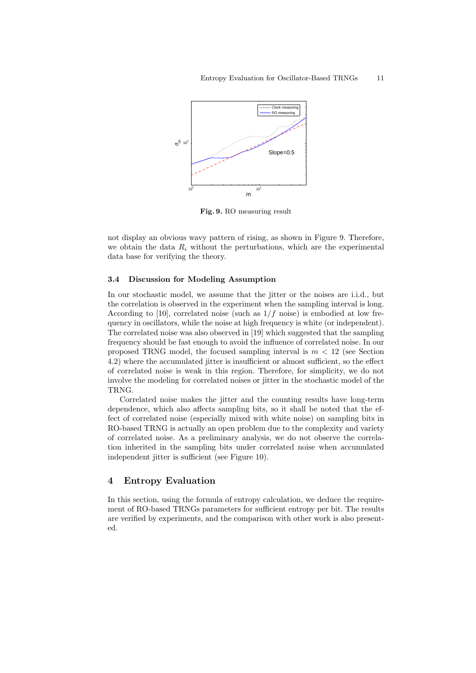

Fig. 9. RO measuring result

not display an obvious wavy pattern of rising, as shown in Figure 9. Therefore, we obtain the data  $R_i$  without the perturbations, which are the experimental data base for verifying the theory.

### 3.4 Discussion for Modeling Assumption

In our stochastic model, we assume that the jitter or the noises are i.i.d., but the correlation is observed in the experiment when the sampling interval is long. According to [10], correlated noise (such as  $1/f$  noise) is embodied at low frequency in oscillators, while the noise at high frequency is white (or independent). The correlated noise was also observed in [19] which suggested that the sampling frequency should be fast enough to avoid the influence of correlated noise. In our proposed TRNG model, the focused sampling interval is  $m < 12$  (see Section 4.2) where the accumulated jitter is insufficient or almost sufficient, so the effect of correlated noise is weak in this region. Therefore, for simplicity, we do not involve the modeling for correlated noises or jitter in the stochastic model of the TRNG.

Correlated noise makes the jitter and the counting results have long-term dependence, which also affects sampling bits, so it shall be noted that the effect of correlated noise (especially mixed with white noise) on sampling bits in RO-based TRNG is actually an open problem due to the complexity and variety of correlated noise. As a preliminary analysis, we do not observe the correlation inherited in the sampling bits under correlated noise when accumulated independent jitter is sufficient (see Figure 10).

# 4 Entropy Evaluation

In this section, using the formula of entropy calculation, we deduce the requirement of RO-based TRNGs parameters for sufficient entropy per bit. The results are verified by experiments, and the comparison with other work is also presented.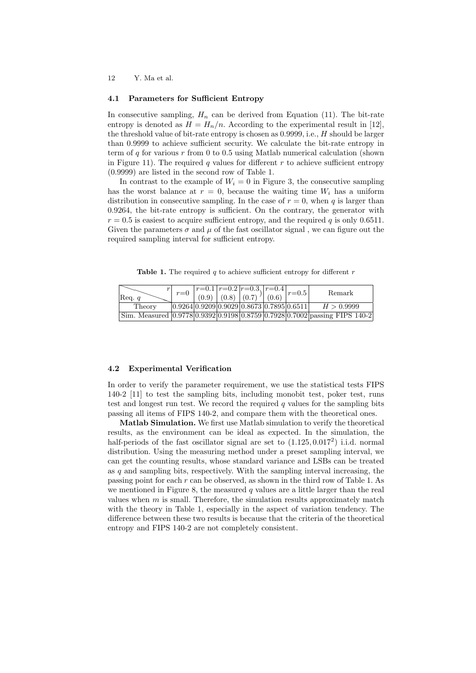### 4.1 Parameters for Sufficient Entropy

In consecutive sampling,  $H_n$  can be derived from Equation (11). The bit-rate entropy is denoted as  $H = H_n/n$ . According to the experimental result in [12], the threshold value of bit-rate entropy is chosen as  $0.9999$ , i.e.,  $H$  should be larger than 0.9999 to achieve sufficient security. We calculate the bit-rate entropy in term of  $q$  for various  $r$  from 0 to 0.5 using Matlab numerical calculation (shown in Figure 11). The required q values for different  $r$  to achieve sufficient entropy (0.9999) are listed in the second row of Table 1.

In contrast to the example of  $W_i = 0$  in Figure 3, the consecutive sampling has the worst balance at  $r = 0$ , because the waiting time  $W_i$  has a uniform distribution in consecutive sampling. In the case of  $r = 0$ , when q is larger than 0.9264, the bit-rate entropy is sufficient. On the contrary, the generator with  $r = 0.5$  is easiest to acquire sufficient entropy, and the required q is only 0.6511. Given the parameters  $\sigma$  and  $\mu$  of the fast oscillator signal, we can figure out the required sampling interval for sufficient entropy.

**Table 1.** The required q to achieve sufficient entropy for different  $r$ 

| Req. q |  | $r=0$ $\begin{vmatrix} r=0.1 & r=0.2 & r=0.3 \\ (0.9) & (0.8) & (0.7) \end{vmatrix}$ $\begin{vmatrix} r=0.4 & r=0.5 \\ (0.6) & (0.6) \end{vmatrix}$ |  | Remark                                                                         |
|--------|--|-----------------------------------------------------------------------------------------------------------------------------------------------------|--|--------------------------------------------------------------------------------|
| Theory |  | $ 0.9264 0.9209 0.9029 0.8673 0.7895 0.6511 $                                                                                                       |  | H > 0.9999                                                                     |
|        |  |                                                                                                                                                     |  | Sim. Measured $ 0.9778 0.9392 0.9198 0.8759 0.7928 0.7002 $ passing FIPS 140-2 |

### 4.2 Experimental Verification

In order to verify the parameter requirement, we use the statistical tests FIPS 140-2 [11] to test the sampling bits, including monobit test, poker test, runs test and longest run test. We record the required  $q$  values for the sampling bits passing all items of FIPS 140-2, and compare them with the theoretical ones.

Matlab Simulation. We first use Matlab simulation to verify the theoretical results, as the environment can be ideal as expected. In the simulation, the half-periods of the fast oscillator signal are set to  $(1.125, 0.017^2)$  i.i.d. normal distribution. Using the measuring method under a preset sampling interval, we can get the counting results, whose standard variance and LSBs can be treated as  $q$  and sampling bits, respectively. With the sampling interval increasing, the passing point for each r can be observed, as shown in the third row of Table 1. As we mentioned in Figure 8, the measured  $q$  values are a little larger than the real values when  $m$  is small. Therefore, the simulation results approximately match with the theory in Table 1, especially in the aspect of variation tendency. The difference between these two results is because that the criteria of the theoretical entropy and FIPS 140-2 are not completely consistent.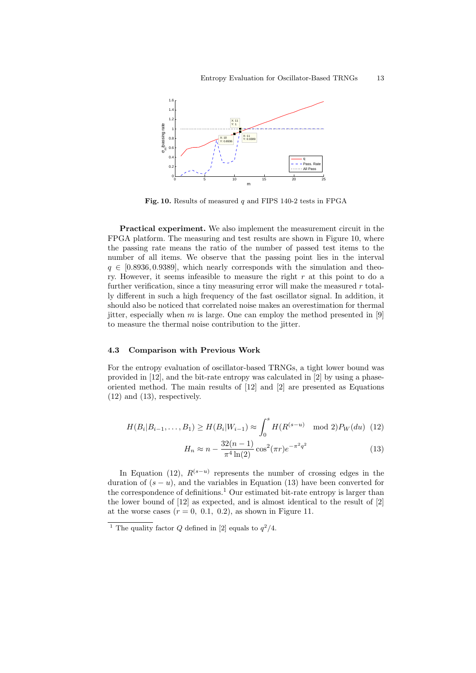

Fig. 10. Results of measured  $q$  and FIPS 140-2 tests in FPGA

Practical experiment. We also implement the measurement circuit in the FPGA platform. The measuring and test results are shown in Figure 10, where the passing rate means the ratio of the number of passed test items to the number of all items. We observe that the passing point lies in the interval  $q \in [0.8936, 0.9389]$ , which nearly corresponds with the simulation and theory. However, it seems infeasible to measure the right  $r$  at this point to do a further verification, since a tiny measuring error will make the measured  $r$  totally different in such a high frequency of the fast oscillator signal. In addition, it should also be noticed that correlated noise makes an overestimation for thermal jitter, especially when  $m$  is large. One can employ the method presented in [9] to measure the thermal noise contribution to the jitter.

### 4.3 Comparison with Previous Work

For the entropy evaluation of oscillator-based TRNGs, a tight lower bound was provided in [12], and the bit-rate entropy was calculated in [2] by using a phaseoriented method. The main results of [12] and [2] are presented as Equations (12) and (13), respectively.

$$
H(B_i|B_{i-1},...,B_1) \ge H(B_i|W_{i-1}) \approx \int_0^s H(R^{(s-u)} \mod 2) P_W(du) \tag{12}
$$

$$
H_n \approx n - \frac{32(n-1)}{\pi^4 \ln(2)} \cos^2(\pi r) e^{-\pi^2 q^2}
$$
 (13)

In Equation (12),  $R^{(s-u)}$  represents the number of crossing edges in the duration of  $(s - u)$ , and the variables in Equation (13) have been converted for the correspondence of definitions.<sup>1</sup> Our estimated bit-rate entropy is larger than the lower bound of [12] as expected, and is almost identical to the result of [2] at the worse cases  $(r = 0, 0.1, 0.2)$ , as shown in Figure 11.

<sup>&</sup>lt;sup>1</sup> The quality factor Q defined in [2] equals to  $q^2/4$ .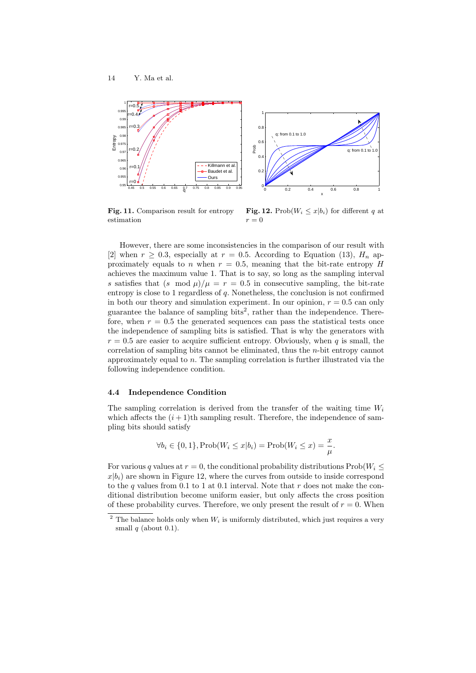



Fig. 11. Comparison result for entropy estimation

**Fig. 12.** Prob $(W_i \leq x | b_i)$  for different q at  $r = 0$ 

However, there are some inconsistencies in the comparison of our result with [2] when  $r \geq 0.3$ , especially at  $r = 0.5$ . According to Equation (13),  $H_n$  approximately equals to n when  $r = 0.5$ , meaning that the bit-rate entropy H achieves the maximum value 1. That is to say, so long as the sampling interval s satisfies that  $(s \mod \mu)/\mu = r = 0.5$  in consecutive sampling, the bit-rate entropy is close to 1 regardless of q. Nonetheless, the conclusion is not confirmed in both our theory and simulation experiment. In our opinion,  $r = 0.5$  can only guarantee the balance of sampling bits<sup>2</sup>, rather than the independence. Therefore, when  $r = 0.5$  the generated sequences can pass the statistical tests once the independence of sampling bits is satisfied. That is why the generators with  $r = 0.5$  are easier to acquire sufficient entropy. Obviously, when q is small, the correlation of sampling bits cannot be eliminated, thus the n-bit entropy cannot approximately equal to n. The sampling correlation is further illustrated via the following independence condition.

### 4.4 Independence Condition

The sampling correlation is derived from the transfer of the waiting time  $W_i$ which affects the  $(i + 1)$ th sampling result. Therefore, the independence of sampling bits should satisfy

$$
\forall b_i \in \{0, 1\}, \text{Prob}(W_i \le x | b_i) = \text{Prob}(W_i \le x) = \frac{x}{\mu}.
$$

For various q values at  $r = 0$ , the conditional probability distributions Prob( $W_i \leq$  $x|b_i$ ) are shown in Figure 12, where the curves from outside to inside correspond to the q values from 0.1 to 1 at 0.1 interval. Note that  $r$  does not make the conditional distribution become uniform easier, but only affects the cross position of these probability curves. Therefore, we only present the result of  $r = 0$ . When

 $2$  The balance holds only when  $W_i$  is uniformly distributed, which just requires a very small  $q$  (about 0.1).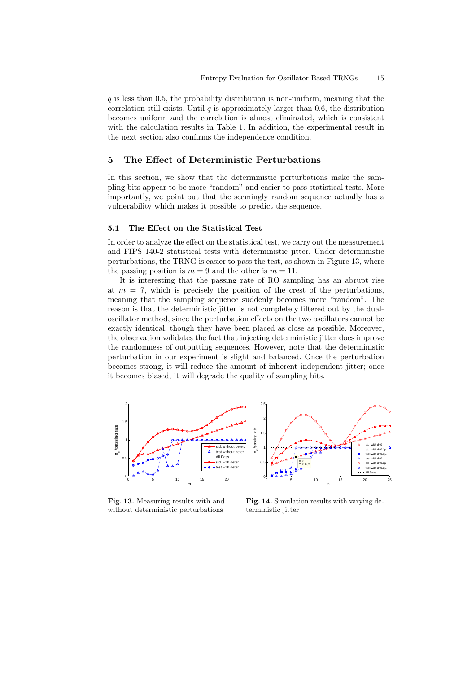q is less than 0.5, the probability distribution is non-uniform, meaning that the correlation still exists. Until  $q$  is approximately larger than 0.6, the distribution becomes uniform and the correlation is almost eliminated, which is consistent with the calculation results in Table 1. In addition, the experimental result in the next section also confirms the independence condition.

# 5 The Effect of Deterministic Perturbations

In this section, we show that the deterministic perturbations make the sampling bits appear to be more "random" and easier to pass statistical tests. More importantly, we point out that the seemingly random sequence actually has a vulnerability which makes it possible to predict the sequence.

#### 5.1 The Effect on the Statistical Test

In order to analyze the effect on the statistical test, we carry out the measurement and FIPS 140-2 statistical tests with deterministic jitter. Under deterministic perturbations, the TRNG is easier to pass the test, as shown in Figure 13, where the passing position is  $m = 9$  and the other is  $m = 11$ .

It is interesting that the passing rate of RO sampling has an abrupt rise at  $m = 7$ , which is precisely the position of the crest of the perturbations, meaning that the sampling sequence suddenly becomes more "random". The reason is that the deterministic jitter is not completely filtered out by the dualoscillator method, since the perturbation effects on the two oscillators cannot be exactly identical, though they have been placed as close as possible. Moreover, the observation validates the fact that injecting deterministic jitter does improve the randomness of outputting sequences. However, note that the deterministic perturbation in our experiment is slight and balanced. Once the perturbation becomes strong, it will reduce the amount of inherent independent jitter; once it becomes biased, it will degrade the quality of sampling bits.



Fig. 13. Measuring results with and without deterministic perturbations

Fig. 14. Simulation results with varying deterministic jitter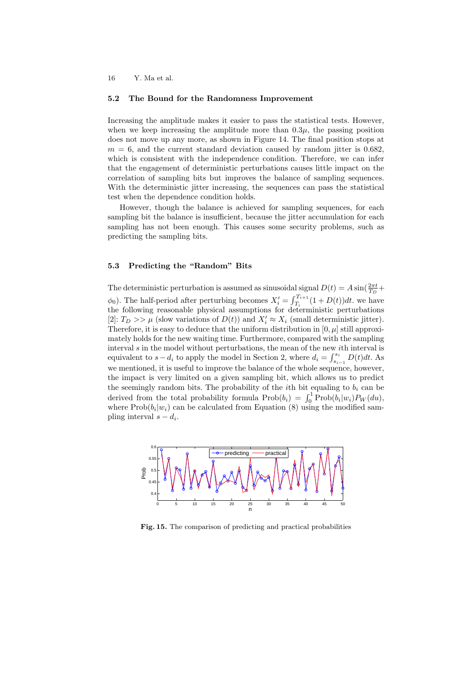#### 5.2 The Bound for the Randomness Improvement

Increasing the amplitude makes it easier to pass the statistical tests. However, when we keep increasing the amplitude more than  $0.3\mu$ , the passing position does not move up any more, as shown in Figure 14. The final position stops at  $m = 6$ , and the current standard deviation caused by random jitter is 0.682, which is consistent with the independence condition. Therefore, we can infer that the engagement of deterministic perturbations causes little impact on the correlation of sampling bits but improves the balance of sampling sequences. With the deterministic jitter increasing, the sequences can pass the statistical test when the dependence condition holds.

However, though the balance is achieved for sampling sequences, for each sampling bit the balance is insufficient, because the jitter accumulation for each sampling has not been enough. This causes some security problems, such as predicting the sampling bits.

# 5.3 Predicting the "Random" Bits

The deterministic perturbation is assumed as sinusoidal signal  $D(t) = A \sin(\frac{2\pi t}{T_D} +$  $\phi_0$ ). The half-period after perturbing becomes  $X'_i = \int_{T_i}^{T_{i+1}} (1 + D(t)) dt$ , we have the following reasonable physical assumptions for deterministic perturbations [2]:  $T_D >> \mu$  (slow variations of  $D(t)$ ) and  $X'_i \approx X_i$  (small deterministic jitter). Therefore, it is easy to deduce that the uniform distribution in  $[0, \mu]$  still approximately holds for the new waiting time. Furthermore, compared with the sampling interval s in the model without perturbations, the mean of the new ith interval is equivalent to  $s - d_i$  to apply the model in Section 2, where  $d_i = \int_{s_{i-1}}^{s_i} D(t) dt$ . As we mentioned, it is useful to improve the balance of the whole sequence, however, the impact is very limited on a given sampling bit, which allows us to predict the seemingly random bits. The probability of the *i*th bit equaling to  $b_i$  can be derived from the total probability formula  $\text{Prob}(b_i) = \int_0^1 \text{Prob}(b_i|w_i) P_W(du)$ , where  $\text{Prob}(b_i|w_i)$  can be calculated from Equation (8) using the modified sampling interval  $s - d_i$ .



Fig. 15. The comparison of predicting and practical probabilities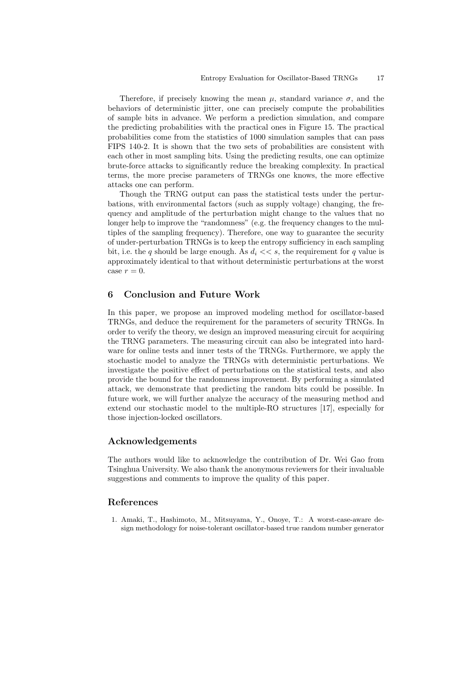Therefore, if precisely knowing the mean  $\mu$ , standard variance  $\sigma$ , and the behaviors of deterministic jitter, one can precisely compute the probabilities of sample bits in advance. We perform a prediction simulation, and compare the predicting probabilities with the practical ones in Figure 15. The practical probabilities come from the statistics of 1000 simulation samples that can pass FIPS 140-2. It is shown that the two sets of probabilities are consistent with each other in most sampling bits. Using the predicting results, one can optimize brute-force attacks to significantly reduce the breaking complexity. In practical terms, the more precise parameters of TRNGs one knows, the more effective attacks one can perform.

Though the TRNG output can pass the statistical tests under the perturbations, with environmental factors (such as supply voltage) changing, the frequency and amplitude of the perturbation might change to the values that no longer help to improve the "randomness" (e.g. the frequency changes to the multiples of the sampling frequency). Therefore, one way to guarantee the security of under-perturbation TRNGs is to keep the entropy sufficiency in each sampling bit, i.e. the q should be large enough. As  $d_i \ll s$ , the requirement for q value is approximately identical to that without deterministic perturbations at the worst case  $r = 0$ .

# 6 Conclusion and Future Work

In this paper, we propose an improved modeling method for oscillator-based TRNGs, and deduce the requirement for the parameters of security TRNGs. In order to verify the theory, we design an improved measuring circuit for acquiring the TRNG parameters. The measuring circuit can also be integrated into hardware for online tests and inner tests of the TRNGs. Furthermore, we apply the stochastic model to analyze the TRNGs with deterministic perturbations. We investigate the positive effect of perturbations on the statistical tests, and also provide the bound for the randomness improvement. By performing a simulated attack, we demonstrate that predicting the random bits could be possible. In future work, we will further analyze the accuracy of the measuring method and extend our stochastic model to the multiple-RO structures [17], especially for those injection-locked oscillators.

# Acknowledgements

The authors would like to acknowledge the contribution of Dr. Wei Gao from Tsinghua University. We also thank the anonymous reviewers for their invaluable suggestions and comments to improve the quality of this paper.

# References

1. Amaki, T., Hashimoto, M., Mitsuyama, Y., Onoye, T.: A worst-case-aware design methodology for noise-tolerant oscillator-based true random number generator